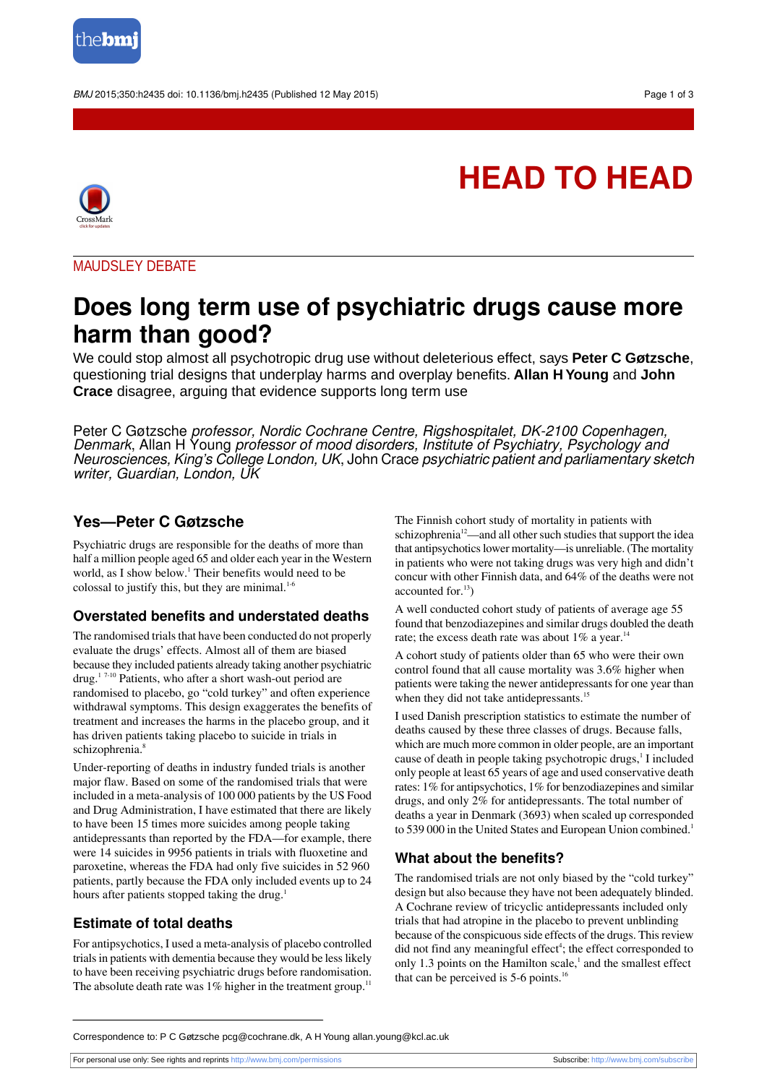

BMJ 2015;350:h2435 doi: 10.1136/bmj.h2435 (Published 12 May 2015) Page 1 of 3



**HEAD TO HEAD**

MAUDSLEY DEBATE

# **Does long term use of psychiatric drugs cause more harm than good?**

We could stop almost all psychotropic drug use without deleterious effect, says **Peter C Gøtzsche**, questioning trial designs that underplay harms and overplay benefits. **Allan H Young** and **John Crace** disagree, arguing that evidence supports long term use

Peter C Gøtzsche professor, Nordic Cochrane Centre, Rigshospitalet, DK-2100 Copenhagen, Denmark, Allan H Young professor of mood disorders, Institute of Psychiatry, Psychology and Neurosciences, King's College London, UK, John Crace psychiatric patient and parliamentary sketch writer, Guardian, London, UK

## **Yes—Peter C Gøtzsche**

Psychiatric drugs are responsible for the deaths of more than half a million people aged 65 and older each year in the Western world, as I show below.<sup>1</sup> Their benefits would need to be colossal to justify this, but they are minimal. $1-6$ 

## **Overstated benefits and understated deaths**

The randomised trials that have been conducted do not properly evaluate the drugs' effects. Almost all of them are biased because they included patients already taking another psychiatric drug.<sup>1</sup> 7-10 Patients, who after a short wash-out period are randomised to placebo, go "cold turkey" and often experience withdrawal symptoms. This design exaggerates the benefits of treatment and increases the harms in the placebo group, and it has driven patients taking placebo to suicide in trials in schizophrenia.<sup>8</sup>

Under-reporting of deaths in industry funded trials is another major flaw. Based on some of the randomised trials that were included in a meta-analysis of 100 000 patients by the US Food and Drug Administration, I have estimated that there are likely to have been 15 times more suicides among people taking antidepressants than reported by the FDA—for example, there were 14 suicides in 9956 patients in trials with fluoxetine and paroxetine, whereas the FDA had only five suicides in 52 960 patients, partly because the FDA only included events up to 24 hours after patients stopped taking the drug.<sup>1</sup>

## **Estimate of total deaths**

For antipsychotics, I used a meta-analysis of placebo controlled trials in patients with dementia because they would be less likely to have been receiving psychiatric drugs before randomisation. The absolute death rate was  $1\%$  higher in the treatment group.<sup>11</sup> The Finnish cohort study of mortality in patients with schizophrenia<sup>12</sup>—and all other such studies that support the idea that antipsychotics lower mortality—is unreliable. (The mortality in patients who were not taking drugs was very high and didn't concur with other Finnish data, and 64% of the deaths were not accounted for.<sup>13</sup>)

A well conducted cohort study of patients of average age 55 found that benzodiazepines and similar drugs doubled the death rate; the excess death rate was about  $1\%$  a year.<sup>14</sup>

A cohort study of patients older than 65 who were their own control found that all cause mortality was 3.6% higher when patients were taking the newer antidepressants for one year than when they did not take antidepressants.<sup>15</sup>

I used Danish prescription statistics to estimate the number of deaths caused by these three classes of drugs. Because falls, which are much more common in older people, are an important cause of death in people taking psychotropic drugs,<sup>1</sup> I included only people at least 65 years of age and used conservative death rates: 1% for antipsychotics, 1% for benzodiazepines and similar drugs, and only 2% for antidepressants. The total number of deaths a year in Denmark (3693) when scaled up corresponded to 539 000 in the United States and European Union combined.<sup>1</sup>

## **What about the benefits?**

The randomised trials are not only biased by the "cold turkey" design but also because they have not been adequately blinded. A Cochrane review of tricyclic antidepressants included only trials that had atropine in the placebo to prevent unblinding because of the conspicuous side effects of the drugs. This review did not find any meaningful effect<sup>4</sup>; the effect corresponded to only 1.3 points on the Hamilton scale, $<sup>1</sup>$  and the smallest effect</sup> that can be perceived is  $5-6$  points.<sup>16</sup>

Correspondence to: P C Gøtzsche pcg@cochrane.dk, A H Young allan.young@kcl.ac.uk

For personal use only: See rights and reprints<http://www.bmj.com/permissions> Subscribe: <http://www.bmj.com/subscribe>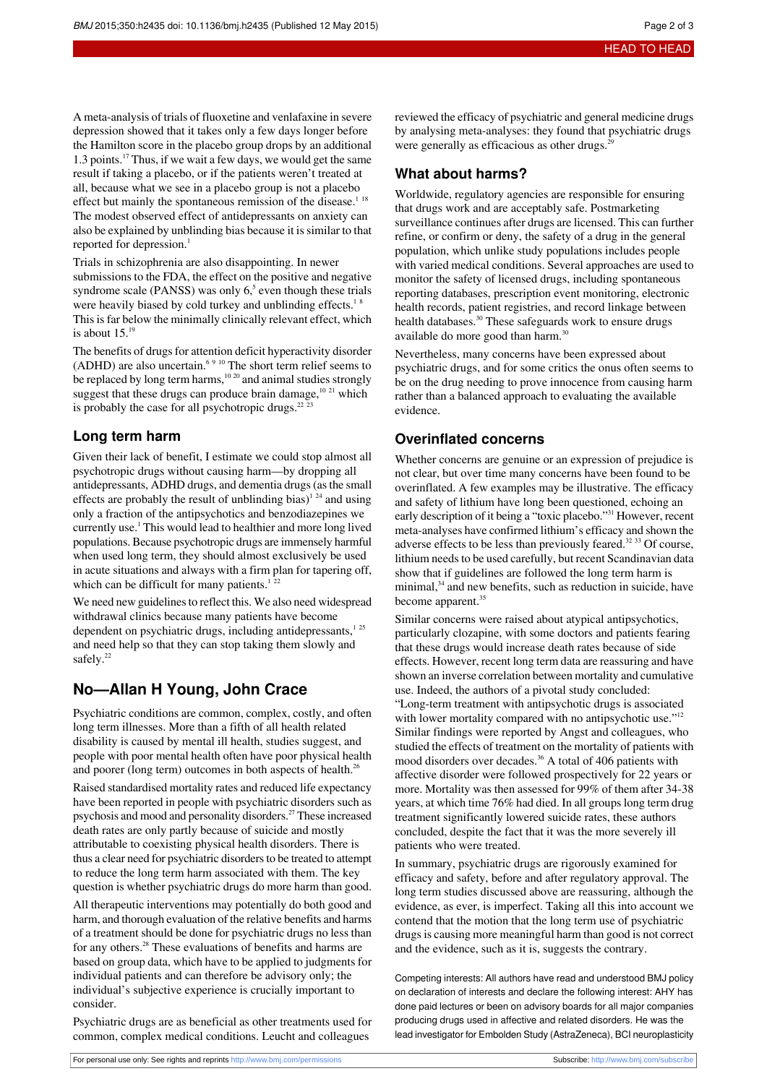A meta-analysis of trials of fluoxetine and venlafaxine in severe depression showed that it takes only a few days longer before the Hamilton score in the placebo group drops by an additional 1.3 points.<sup>17</sup> Thus, if we wait a few days, we would get the same result if taking a placebo, or if the patients weren't treated at all, because what we see in a placebo group is not a placebo effect but mainly the spontaneous remission of the disease.<sup>1 18</sup> The modest observed effect of antidepressants on anxiety can also be explained by unblinding bias because it is similar to that reported for depression.<sup>1</sup>

Trials in schizophrenia are also disappointing. In newer submissions to the FDA, the effect on the positive and negative syndrome scale (PANSS) was only  $6<sup>5</sup>$  even though these trials were heavily biased by cold turkey and unblinding effects.<sup>18</sup> This is far below the minimally clinically relevant effect, which is about  $15<sup>1</sup>$ 

The benefits of drugs for attention deficit hyperactivity disorder (ADHD) are also uncertain.<sup>6 9 10</sup> The short term relief seems to be replaced by long term harms, $10^{20}$  and animal studies strongly suggest that these drugs can produce brain damage, $10^{-21}$  which is probably the case for all psychotropic drugs. $22^{22}$ 

### **Long term harm**

Given their lack of benefit, I estimate we could stop almost all psychotropic drugs without causing harm—by dropping all antidepressants, ADHD drugs, and dementia drugs(asthe small effects are probably the result of unblinding bias)<sup>1 24</sup> and using only a fraction of the antipsychotics and benzodiazepines we currently use.<sup>1</sup> This would lead to healthier and more long lived populations. Because psychotropic drugs are immensely harmful when used long term, they should almost exclusively be used in acute situations and always with a firm plan for tapering off, which can be difficult for many patients.<sup>1</sup><sup>22</sup>

We need new guidelines to reflect this. We also need widespread withdrawal clinics because many patients have become dependent on psychiatric drugs, including antidepressants,<sup>125</sup> and need help so that they can stop taking them slowly and safely.<sup>22</sup>

## **No—Allan H Young, John Crace**

Psychiatric conditions are common, complex, costly, and often long term illnesses. More than a fifth of all health related disability is caused by mental ill health, studies suggest, and people with poor mental health often have poor physical health and poorer (long term) outcomes in both aspects of health.<sup>26</sup>

Raised standardised mortality rates and reduced life expectancy have been reported in people with psychiatric disorders such as psychosis and mood and personality disorders.<sup>27</sup> These increased death rates are only partly because of suicide and mostly attributable to coexisting physical health disorders. There is thus a clear need for psychiatric disorders to be treated to attempt to reduce the long term harm associated with them. The key question is whether psychiatric drugs do more harm than good.

All therapeutic interventions may potentially do both good and harm, and thorough evaluation of the relative benefits and harms of a treatment should be done for psychiatric drugs no less than for any others.<sup>28</sup> These evaluations of benefits and harms are based on group data, which have to be applied to judgments for individual patients and can therefore be advisory only; the individual's subjective experience is crucially important to consider.

Psychiatric drugs are as beneficial as other treatments used for common, complex medical conditions. Leucht and colleagues

reviewed the efficacy of psychiatric and general medicine drugs by analysing meta-analyses: they found that psychiatric drugs were generally as efficacious as other drugs.<sup>2</sup>

### **What about harms?**

Worldwide, regulatory agencies are responsible for ensuring that drugs work and are acceptably safe. Postmarketing surveillance continues after drugs are licensed. This can further refine, or confirm or deny, the safety of a drug in the general population, which unlike study populations includes people with varied medical conditions. Several approaches are used to monitor the safety of licensed drugs, including spontaneous reporting databases, prescription event monitoring, electronic health records, patient registries, and record linkage between health databases.<sup>30</sup> These safeguards work to ensure drugs available do more good than harm.<sup>30</sup>

Nevertheless, many concerns have been expressed about psychiatric drugs, and for some critics the onus often seems to be on the drug needing to prove innocence from causing harm rather than a balanced approach to evaluating the available evidence.

### **Overinflated concerns**

Whether concerns are genuine or an expression of prejudice is not clear, but over time many concerns have been found to be overinflated. A few examples may be illustrative. The efficacy and safety of lithium have long been questioned, echoing an early description of it being a "toxic placebo."<sup>31</sup> However, recent meta-analyses have confirmed lithium's efficacy and shown the adverse effects to be less than previously feared.<sup>32</sup> 33 Of course, lithium needs to be used carefully, but recent Scandinavian data show that if guidelines are followed the long term harm is minimal,<sup>34</sup> and new benefits, such as reduction in suicide, have become apparent.<sup>35</sup>

Similar concerns were raised about atypical antipsychotics, particularly clozapine, with some doctors and patients fearing that these drugs would increase death rates because of side effects. However, recent long term data are reassuring and have shown an inverse correlation between mortality and cumulative use. Indeed, the authors of a pivotal study concluded: "Long-term treatment with antipsychotic drugs is associated with lower mortality compared with no antipsychotic use."<sup>12</sup> Similar findings were reported by Angst and colleagues, who studied the effects of treatment on the mortality of patients with mood disorders over decades.<sup>36</sup> A total of 406 patients with affective disorder were followed prospectively for 22 years or more. Mortality was then assessed for 99% of them after 34-38 years, at which time 76% had died. In all groups long term drug treatment significantly lowered suicide rates, these authors concluded, despite the fact that it was the more severely ill patients who were treated.

In summary, psychiatric drugs are rigorously examined for efficacy and safety, before and after regulatory approval. The long term studies discussed above are reassuring, although the evidence, as ever, is imperfect. Taking all this into account we contend that the motion that the long term use of psychiatric drugs is causing more meaningful harm than good is not correct and the evidence, such as it is, suggests the contrary.

Competing interests: All authors have read and understood BMJ policy on declaration of interests and declare the following interest: AHY has done paid lectures or been on advisory boards for all major companies producing drugs used in affective and related disorders. He was the lead investigator for Embolden Study (AstraZeneca), BCI neuroplasticity